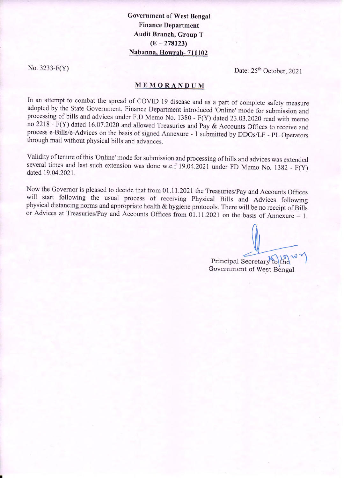**Government of West Bengal Finance Department Audit Branch, Group T**  $(E - 278123)$ Nabanna, Howrah-711102

No.  $3233-F(Y)$ 

Date: 25<sup>th</sup> October, 2021

## MEMORANDUM

In an attempt to combat the spread of COVID-19 disease and as a part of complete safety measure adopted by the State Government, Finance Department introduced 'Online' mode for submission and processing of bills and advices under F.D Memo No. 1380 - F(Y) dated 23.03.2020 read with memo no 2218 - F(Y) dated 16.07.2020 and allowed Treasuries and Pay & Accounts Offices to receive and process e-Bills/e-Advices on the basis of signed Annexure - 1 submitted by DDOs/LF - PL Operators through mail without physical bills and advances.

Validity of tenure of this 'Online' mode for submission and processing of bills and advices was extended several times and last such extension was done w.e.f 19.04.2021 under FD Memo No. 1382 - F(Y) dated 19.04.2021.

Now the Governor is pleased to decide that from 01.11.2021 the Treasuries/Pay and Accounts Offices will start following the usual process of receiving Physical Bills and Advices following physical distancing norms and appropriate health & hygiene protocols. There will be no receipt of Bills or Advices at Treasuries/Pay and Accounts Offices from  $01.11.2021$  on the basis of Annexure - 1.

Principal Secretary to th Government of West Bengal